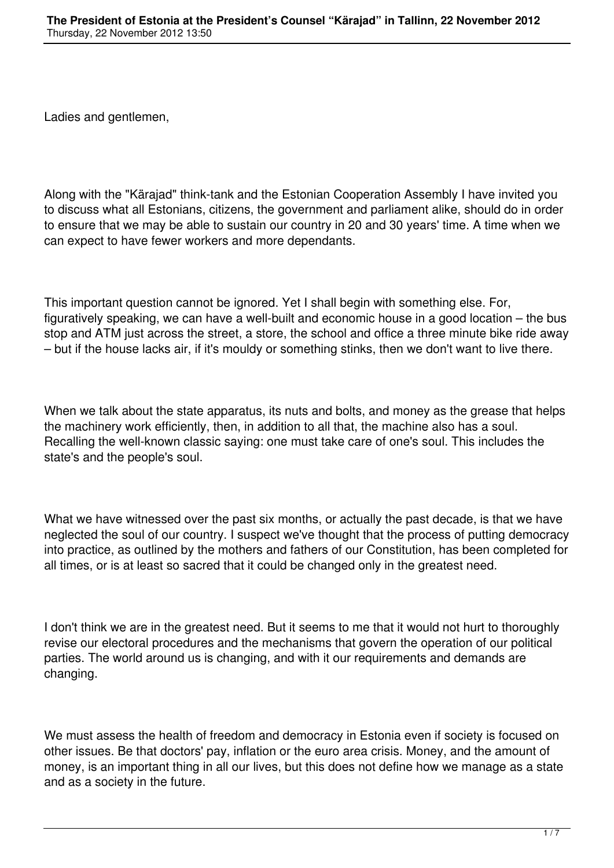Ladies and gentlemen,

Along with the "Kärajad" think-tank and the Estonian Cooperation Assembly I have invited you to discuss what all Estonians, citizens, the government and parliament alike, should do in order to ensure that we may be able to sustain our country in 20 and 30 years' time. A time when we can expect to have fewer workers and more dependants.

This important question cannot be ignored. Yet I shall begin with something else. For, figuratively speaking, we can have a well-built and economic house in a good location – the bus stop and ATM just across the street, a store, the school and office a three minute bike ride away – but if the house lacks air, if it's mouldy or something stinks, then we don't want to live there.

When we talk about the state apparatus, its nuts and bolts, and money as the grease that helps the machinery work efficiently, then, in addition to all that, the machine also has a soul. Recalling the well-known classic saying: one must take care of one's soul. This includes the state's and the people's soul.

What we have witnessed over the past six months, or actually the past decade, is that we have neglected the soul of our country. I suspect we've thought that the process of putting democracy into practice, as outlined by the mothers and fathers of our Constitution, has been completed for all times, or is at least so sacred that it could be changed only in the greatest need.

I don't think we are in the greatest need. But it seems to me that it would not hurt to thoroughly revise our electoral procedures and the mechanisms that govern the operation of our political parties. The world around us is changing, and with it our requirements and demands are changing.

We must assess the health of freedom and democracy in Estonia even if society is focused on other issues. Be that doctors' pay, inflation or the euro area crisis. Money, and the amount of money, is an important thing in all our lives, but this does not define how we manage as a state and as a society in the future.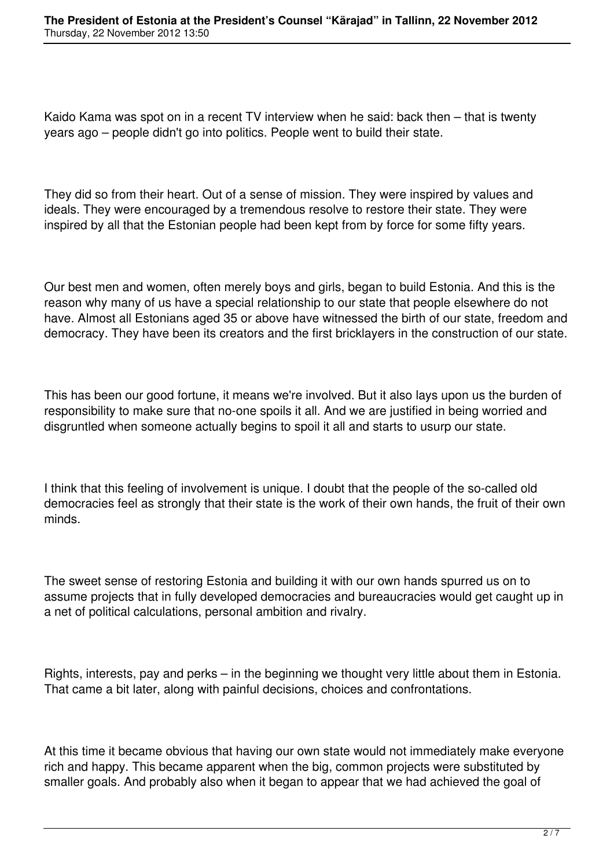Kaido Kama was spot on in a recent TV interview when he said: back then – that is twenty years ago – people didn't go into politics. People went to build their state.

They did so from their heart. Out of a sense of mission. They were inspired by values and ideals. They were encouraged by a tremendous resolve to restore their state. They were inspired by all that the Estonian people had been kept from by force for some fifty years.

Our best men and women, often merely boys and girls, began to build Estonia. And this is the reason why many of us have a special relationship to our state that people elsewhere do not have. Almost all Estonians aged 35 or above have witnessed the birth of our state, freedom and democracy. They have been its creators and the first bricklayers in the construction of our state.

This has been our good fortune, it means we're involved. But it also lays upon us the burden of responsibility to make sure that no-one spoils it all. And we are justified in being worried and disgruntled when someone actually begins to spoil it all and starts to usurp our state.

I think that this feeling of involvement is unique. I doubt that the people of the so-called old democracies feel as strongly that their state is the work of their own hands, the fruit of their own minds.

The sweet sense of restoring Estonia and building it with our own hands spurred us on to assume projects that in fully developed democracies and bureaucracies would get caught up in a net of political calculations, personal ambition and rivalry.

Rights, interests, pay and perks – in the beginning we thought very little about them in Estonia. That came a bit later, along with painful decisions, choices and confrontations.

At this time it became obvious that having our own state would not immediately make everyone rich and happy. This became apparent when the big, common projects were substituted by smaller goals. And probably also when it began to appear that we had achieved the goal of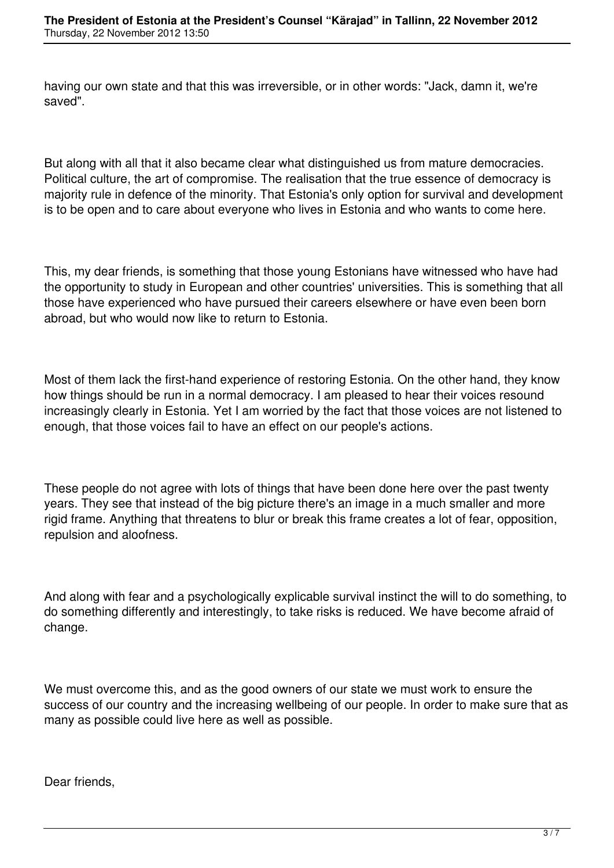having our own state and that this was irreversible, or in other words: "Jack, damn it, we're saved".

But along with all that it also became clear what distinguished us from mature democracies. Political culture, the art of compromise. The realisation that the true essence of democracy is majority rule in defence of the minority. That Estonia's only option for survival and development is to be open and to care about everyone who lives in Estonia and who wants to come here.

This, my dear friends, is something that those young Estonians have witnessed who have had the opportunity to study in European and other countries' universities. This is something that all those have experienced who have pursued their careers elsewhere or have even been born abroad, but who would now like to return to Estonia.

Most of them lack the first-hand experience of restoring Estonia. On the other hand, they know how things should be run in a normal democracy. I am pleased to hear their voices resound increasingly clearly in Estonia. Yet I am worried by the fact that those voices are not listened to enough, that those voices fail to have an effect on our people's actions.

These people do not agree with lots of things that have been done here over the past twenty years. They see that instead of the big picture there's an image in a much smaller and more rigid frame. Anything that threatens to blur or break this frame creates a lot of fear, opposition, repulsion and aloofness.

And along with fear and a psychologically explicable survival instinct the will to do something, to do something differently and interestingly, to take risks is reduced. We have become afraid of change.

We must overcome this, and as the good owners of our state we must work to ensure the success of our country and the increasing wellbeing of our people. In order to make sure that as many as possible could live here as well as possible.

Dear friends,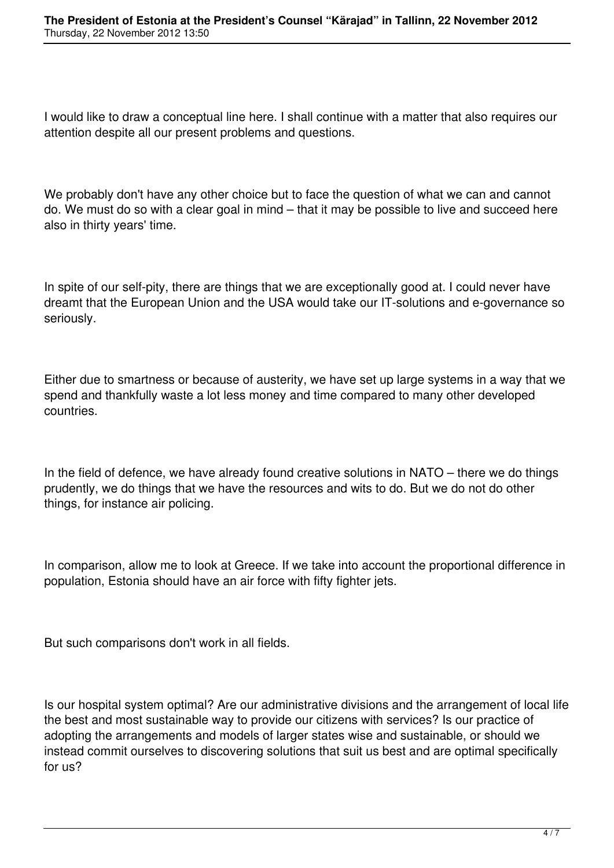I would like to draw a conceptual line here. I shall continue with a matter that also requires our attention despite all our present problems and questions.

We probably don't have any other choice but to face the question of what we can and cannot do. We must do so with a clear goal in mind – that it may be possible to live and succeed here also in thirty years' time.

In spite of our self-pity, there are things that we are exceptionally good at. I could never have dreamt that the European Union and the USA would take our IT-solutions and e-governance so seriously.

Either due to smartness or because of austerity, we have set up large systems in a way that we spend and thankfully waste a lot less money and time compared to many other developed countries.

In the field of defence, we have already found creative solutions in NATO – there we do things prudently, we do things that we have the resources and wits to do. But we do not do other things, for instance air policing.

In comparison, allow me to look at Greece. If we take into account the proportional difference in population, Estonia should have an air force with fifty fighter jets.

But such comparisons don't work in all fields.

Is our hospital system optimal? Are our administrative divisions and the arrangement of local life the best and most sustainable way to provide our citizens with services? Is our practice of adopting the arrangements and models of larger states wise and sustainable, or should we instead commit ourselves to discovering solutions that suit us best and are optimal specifically for us?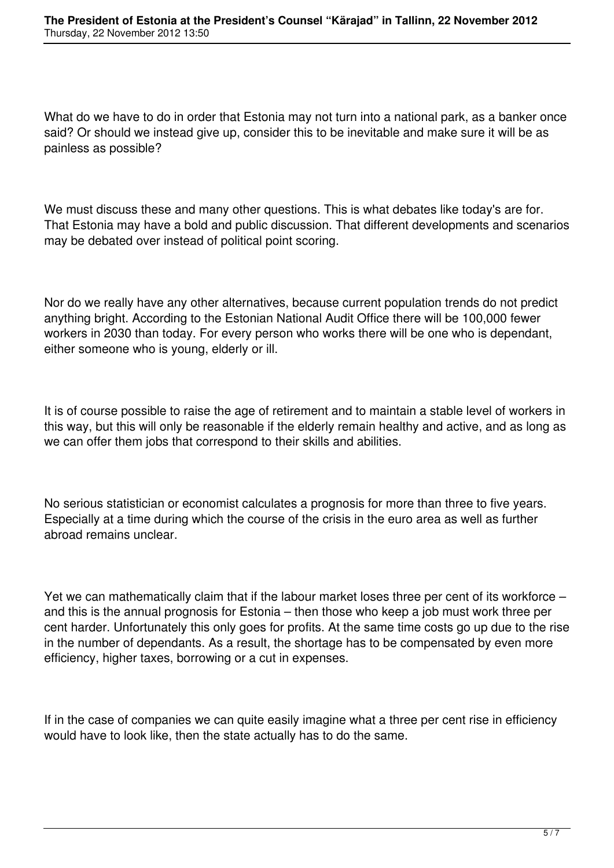What do we have to do in order that Estonia may not turn into a national park, as a banker once said? Or should we instead give up, consider this to be inevitable and make sure it will be as painless as possible?

We must discuss these and many other questions. This is what debates like today's are for. That Estonia may have a bold and public discussion. That different developments and scenarios may be debated over instead of political point scoring.

Nor do we really have any other alternatives, because current population trends do not predict anything bright. According to the Estonian National Audit Office there will be 100,000 fewer workers in 2030 than today. For every person who works there will be one who is dependant, either someone who is young, elderly or ill.

It is of course possible to raise the age of retirement and to maintain a stable level of workers in this way, but this will only be reasonable if the elderly remain healthy and active, and as long as we can offer them jobs that correspond to their skills and abilities.

No serious statistician or economist calculates a prognosis for more than three to five years. Especially at a time during which the course of the crisis in the euro area as well as further abroad remains unclear.

Yet we can mathematically claim that if the labour market loses three per cent of its workforce – and this is the annual prognosis for Estonia – then those who keep a job must work three per cent harder. Unfortunately this only goes for profits. At the same time costs go up due to the rise in the number of dependants. As a result, the shortage has to be compensated by even more efficiency, higher taxes, borrowing or a cut in expenses.

If in the case of companies we can quite easily imagine what a three per cent rise in efficiency would have to look like, then the state actually has to do the same.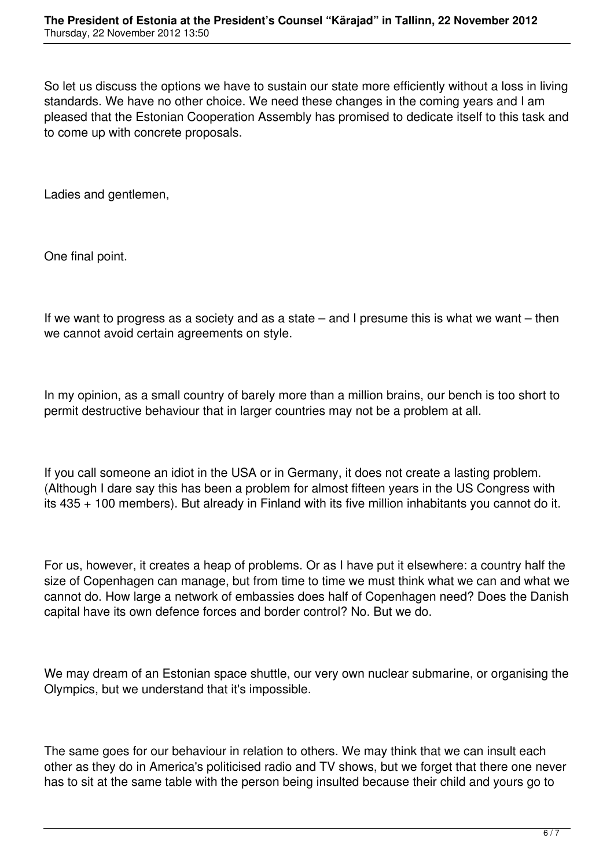So let us discuss the options we have to sustain our state more efficiently without a loss in living standards. We have no other choice. We need these changes in the coming years and I am pleased that the Estonian Cooperation Assembly has promised to dedicate itself to this task and to come up with concrete proposals.

Ladies and gentlemen,

One final point.

If we want to progress as a society and as a state – and I presume this is what we want – then we cannot avoid certain agreements on style.

In my opinion, as a small country of barely more than a million brains, our bench is too short to permit destructive behaviour that in larger countries may not be a problem at all.

If you call someone an idiot in the USA or in Germany, it does not create a lasting problem. (Although I dare say this has been a problem for almost fifteen years in the US Congress with its 435 + 100 members). But already in Finland with its five million inhabitants you cannot do it.

For us, however, it creates a heap of problems. Or as I have put it elsewhere: a country half the size of Copenhagen can manage, but from time to time we must think what we can and what we cannot do. How large a network of embassies does half of Copenhagen need? Does the Danish capital have its own defence forces and border control? No. But we do.

We may dream of an Estonian space shuttle, our very own nuclear submarine, or organising the Olympics, but we understand that it's impossible.

The same goes for our behaviour in relation to others. We may think that we can insult each other as they do in America's politicised radio and TV shows, but we forget that there one never has to sit at the same table with the person being insulted because their child and yours go to